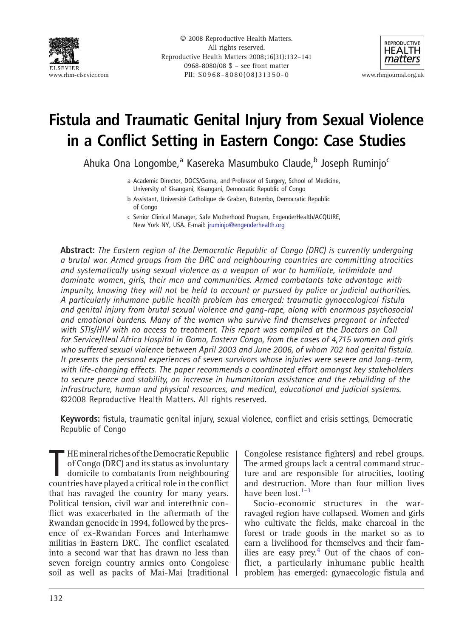



# Fistula and Traumatic Genital Injury from Sexual Violence in a Conflict Setting in Eastern Congo: Case Studies

Ahuka Ona Longombe,<sup>a</sup> Kasereka Masumbuko Claude,<sup>b</sup> Joseph Ruminjo<sup>c</sup>

- a Academic Director, DOCS/Goma, and Professor of Surgery, School of Medicine, University of Kisangani, Kisangani, Democratic Republic of Congo
- b Assistant, Université Catholique de Graben, Butembo, Democratic Republic of Congo
- c Senior Clinical Manager, Safe Motherhood Program, EngenderHealth/ACQUIRE, New York NY, USA. E-mail: [jruminjo@engenderhealth.org](mailto:jruminjo@engenderhealth.org)

Abstract: The Eastern region of the Democratic Republic of Congo (DRC) is currently undergoing a brutal war. Armed groups from the DRC and neighbouring countries are committing atrocities and systematically using sexual violence as a weapon of war to humiliate, intimidate and dominate women, girls, their men and communities. Armed combatants take advantage with impunity, knowing they will not be held to account or pursued by police or judicial authorities. A particularly inhumane public health problem has emerged: traumatic gynaecological fistula and genital injury from brutal sexual violence and gang-rape, along with enormous psychosocial and emotional burdens. Many of the women who survive find themselves pregnant or infected with STIs/HIV with no access to treatment. This report was compiled at the Doctors on Call for Service/Heal Africa Hospital in Goma, Eastern Congo, from the cases of 4,715 women and girls who suffered sexual violence between April 2003 and June 2006, of whom 702 had genital fistula. It presents the personal experiences of seven survivors whose injuries were severe and long-term, with life-changing effects. The paper recommends a coordinated effort amongst key stakeholders to secure peace and stability, an increase in humanitarian assistance and the rebuilding of the infrastructure, human and physical resources, and medical, educational and judicial systems. ©2008 Reproductive Health Matters. All rights reserved.

Keywords: fistula, traumatic genital injury, sexual violence, conflict and crisis settings, Democratic Republic of Congo

HE mineral riches of the Democratic Republic of Congo (DRC) and its status as involuntary domicile to combatants from neighbouring countries have played a critical role in the conflict HEmineral riches of theDemocratic Republic of Congo (DRC) and its status as involuntary domicile to combatants from neighbouring that has ravaged the country for many years. Political tension, civil war and interethnic conflict was exacerbated in the aftermath of the Rwandan genocide in 1994, followed by the presence of ex-Rwandan Forces and Interhamwe militias in Eastern DRC. The conflict escalated into a second war that has drawn no less than seven foreign country armies onto Congolese soil as well as packs of Mai-Mai (traditional

Congolese resistance fighters) and rebel groups. The armed groups lack a central command structure and are responsible for atrocities, looting and destruction. More than four million lives have been lost.<sup>1-3</sup>

Socio-economic structures in the warravaged region have collapsed. Women and girls who cultivate the fields, make charcoal in the forest or trade goods in the market so as to earn a livelihood for themselves and their families are easy prey.<sup>4</sup> Out of the chaos of conflict, a particularly inhumane public health problem has emerged: gynaecologic fistula and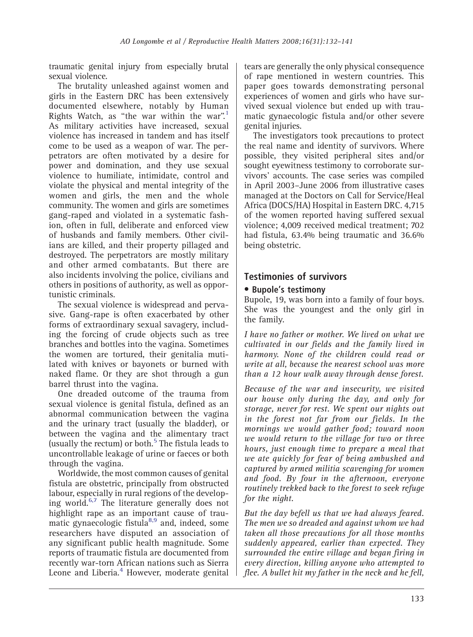traumatic genital injury from especially brutal sexual violence.

The brutality unleashed against women and girls in the Eastern DRC has been extensively documented elsewhere, notably by Human Rights Watch, as "the war within the war".<sup>[1](#page-8-0)</sup> As military activities have increased, sexual violence has increased in tandem and has itself come to be used as a weapon of war. The perpetrators are often motivated by a desire for power and domination, and they use sexual violence to humiliate, intimidate, control and violate the physical and mental integrity of the women and girls, the men and the whole community. The women and girls are sometimes gang-raped and violated in a systematic fashion, often in full, deliberate and enforced view of husbands and family members. Other civilians are killed, and their property pillaged and destroyed. The perpetrators are mostly military and other armed combatants. But there are also incidents involving the police, civilians and others in positions of authority, as well as opportunistic criminals.

The sexual violence is widespread and pervasive. Gang-rape is often exacerbated by other forms of extraordinary sexual savagery, including the forcing of crude objects such as tree branches and bottles into the vagina. Sometimes the women are tortured, their genitalia mutilated with knives or bayonets or burned with naked flame. Or they are shot through a gun barrel thrust into the vagina.

One dreaded outcome of the trauma from sexual violence is genital fistula, defined as an abnormal communication between the vagina and the urinary tract (usually the bladder), or between the vagina and the alimentary tract (usually the rectum) or both. $5$  The fistula leads to uncontrollable leakage of urine or faeces or both through the vagina.

Worldwide, the most common causes of genital fistula are obstetric, principally from obstructed labour, especially in rural regions of the develop-ing world.<sup>[6,7](#page-8-0)</sup> The literature generally does not highlight rape as an important cause of traumatic gynaecologic fistula $8,9$  and, indeed, some researchers have disputed an association of any significant public health magnitude. Some reports of traumatic fistula are documented from recently war-torn African nations such as Sierra Leone and Liberia.<sup>[4](#page-8-0)</sup> However, moderate genital

tears are generally the only physical consequence of rape mentioned in western countries. This paper goes towards demonstrating personal experiences of women and girls who have survived sexual violence but ended up with traumatic gynaecologic fistula and/or other severe genital injuries.

The investigators took precautions to protect the real name and identity of survivors. Where possible, they visited peripheral sites and/or sought eyewitness testimony to corroborate survivors' accounts. The case series was compiled in April 2003–June 2006 from illustrative cases managed at the Doctors on Call for Service/Heal Africa (DOCS/HA) Hospital in Eastern DRC. 4,715 of the women reported having suffered sexual violence; 4,009 received medical treatment; 702 had fistula, 63.4% being traumatic and 36.6% being obstetric.

## Testimonies of survivors

## - Bupole's testimony

Bupole, 19, was born into a family of four boys. She was the youngest and the only girl in the family.

I have no father or mother. We lived on what we cultivated in our fields and the family lived in harmony. None of the children could read or write at all, because the nearest school was more than a 12 hour walk away through dense forest.

Because of the war and insecurity, we visited our house only during the day, and only for storage, never for rest. We spent our nights out in the forest not far from our fields. In the mornings we would gather food; toward noon we would return to the village for two or three hours, just enough time to prepare a meal that we ate quickly for fear of being ambushed and captured by armed militia scavenging for women and food. By four in the afternoon, everyone routinely trekked back to the forest to seek refuge for the night.

But the day befell us that we had always feared. The men we so dreaded and against whom we had taken all those precautions for all those months suddenly appeared, earlier than expected. They surrounded the entire village and began firing in every direction, killing anyone who attempted to flee. A bullet hit my father in the neck and he fell,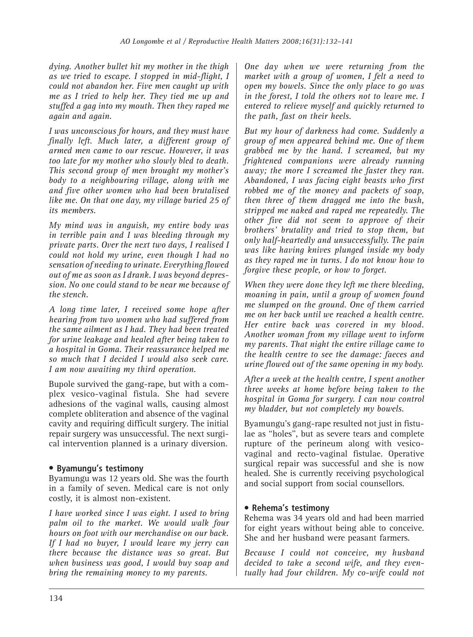dying. Another bullet hit my mother in the thigh as we tried to escape. I stopped in mid-flight, I could not abandon her. Five men caught up with me as I tried to help her. They tied me up and stuffed a gag into my mouth. Then they raped me again and again.

I was unconscious for hours, and they must have finally left. Much later, a different group of armed men came to our rescue. However, it was too late for my mother who slowly bled to death. This second group of men brought my mother's body to a neighbouring village, along with me and five other women who had been brutalised like me. On that one day, my village buried 25 of its members.

My mind was in anguish, my entire body was in terrible pain and I was bleeding through my private parts. Over the next two days, I realised I could not hold my urine, even though I had no sensation of needing to urinate. Everything flowed out of me as soon as I drank. I was beyond depression. No one could stand to be near me because of the stench.

A long time later, I received some hope after hearing from two women who had suffered from the same ailment as I had. They had been treated for urine leakage and healed after being taken to a hospital in Goma. Their reassurance helped me so much that I decided I would also seek care. I am now awaiting my third operation.

Bupole survived the gang-rape, but with a complex vesico-vaginal fistula. She had severe adhesions of the vaginal walls, causing almost complete obliteration and absence of the vaginal cavity and requiring difficult surgery. The initial repair surgery was unsuccessful. The next surgical intervention planned is a urinary diversion.

# - Byamungu's testimony

Byamungu was 12 years old. She was the fourth in a family of seven. Medical care is not only costly, it is almost non-existent.

I have worked since I was eight. I used to bring palm oil to the market. We would walk four hours on foot with our merchandise on our back. If I had no buyer, I would leave my jerry can there because the distance was so great. But when business was good, I would buy soap and bring the remaining money to my parents.

One day when we were returning from the market with a group of women, I felt a need to open my bowels. Since the only place to go was in the forest, I told the others not to leave me. I entered to relieve myself and quickly returned to the path, fast on their heels.

But my hour of darkness had come. Suddenly a group of men appeared behind me. One of them grabbed me by the hand. I screamed, but my frightened companions were already running away; the more I screamed the faster they ran. Abandoned, I was facing eight beasts who first robbed me of the money and packets of soap, then three of them dragged me into the bush, stripped me naked and raped me repeatedly. The other five did not seem to approve of their brothers' brutality and tried to stop them, but only half-heartedly and unsuccessfully. The pain was like having knives plunged inside my body as they raped me in turns. I do not know how to forgive these people, or how to forget.

When they were done they left me there bleeding, moaning in pain, until a group of women found me slumped on the ground. One of them carried me on her back until we reached a health centre. Her entire back was covered in my blood. Another woman from my village went to inform my parents. That night the entire village came to the health centre to see the damage: faeces and urine flowed out of the same opening in my body.

After a week at the health centre, I spent another three weeks at home before being taken to the hospital in Goma for surgery. I can now control my bladder, but not completely my bowels.

Byamungu's gang-rape resulted not just in fistulae as ''holes'', but as severe tears and complete rupture of the perineum along with vesicovaginal and recto-vaginal fistulae. Operative surgical repair was successful and she is now healed. She is currently receiving psychological and social support from social counsellors.

# - Rehema's testimony

Rehema was 34 years old and had been married for eight years without being able to conceive. She and her husband were peasant farmers.

Because I could not conceive, my husband decided to take a second wife, and they eventually had four children. My co-wife could not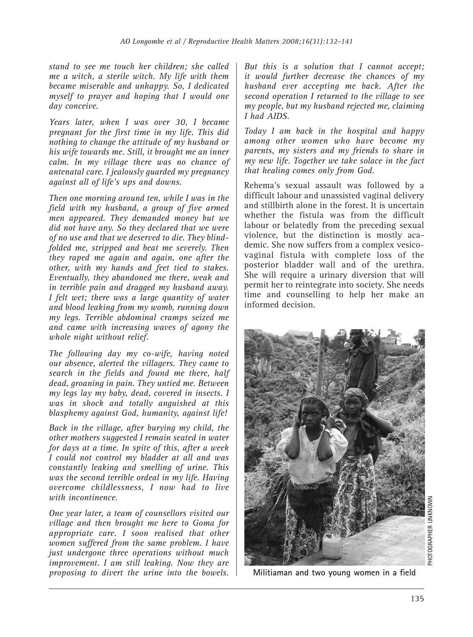stand to see me touch her children; she called me a witch, a sterile witch. My life with them became miserable and unhappy. So, I dedicated myself to prayer and hoping that I would one day conceive.

Years later, when I was over 30, I became pregnant for the first time in my life. This did nothing to change the attitude of my husband or his wife towards me. Still, it brought me an inner calm. In my village there was no chance of antenatal care. I jealously guarded my pregnancy against all of life's ups and downs.

Then one morning around ten, while I was in the field with my husband, a group of five armed men appeared. They demanded money but we did not have any. So they declared that we were of no use and that we deserved to die. They blindfolded me, stripped and beat me severely. Then they raped me again and again, one after the other, with my hands and feet tied to stakes. Eventually, they abandoned me there, weak and in terrible pain and dragged my husband away. I felt wet; there was a large quantity of water and blood leaking from my womb, running down my legs. Terrible abdominal cramps seized me and came with increasing waves of agony the whole night without relief.

The following day my co-wife, having noted our absence, alerted the villagers. They came to search in the fields and found me there, half dead, groaning in pain. They untied me. Between my legs lay my baby, dead, covered in insects. I was in shock and totally anguished at this blasphemy against God, humanity, against life!

Back in the village, after burying my child, the other mothers suggested I remain seated in water for days at a time. In spite of this, after a week I could not control my bladder at all and was constantly leaking and smelling of urine. This was the second terrible ordeal in my life. Having overcome childlessness, I now had to live with incontinence.

One year later, a team of counsellors visited our village and then brought me here to Goma for appropriate care. I soon realised that other women suffered from the same problem. I have just undergone three operations without much improvement. I am still leaking. Now they are proposing to divert the urine into the bowels. But this is a solution that I cannot accept; it would further decrease the chances of my husband ever accepting me back. After the second operation I returned to the village to see my people, but my husband rejected me, claiming I had AIDS.

Today I am back in the hospital and happy among other women who have become my parents, my sisters and my friends to share in my new life. Together we take solace in the fact that healing comes only from God.

Rehema's sexual assault was followed by a difficult labour and unassisted vaginal delivery and stillbirth alone in the forest. It is uncertain whether the fistula was from the difficult labour or belatedly from the preceding sexual violence, but the distinction is mostly academic. She now suffers from a complex vesicovaginal fistula with complete loss of the posterior bladder wall and of the urethra. She will require a urinary diversion that will permit her to reintegrate into society. She needs time and counselling to help her make an informed decision.



Militiaman and two young women in a field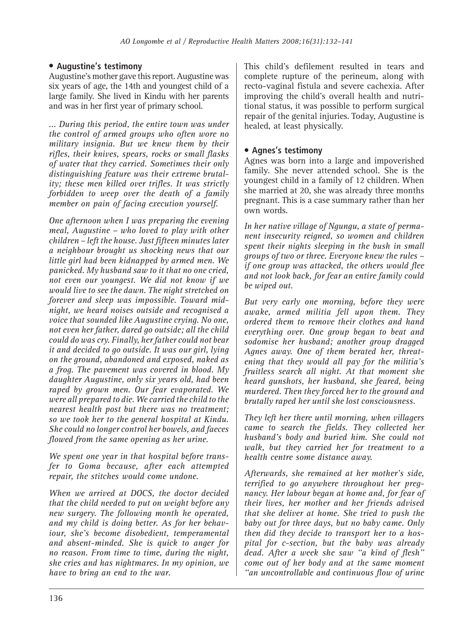## • Augustine's testimony

Augustine's mother gave this report. Augustine was six years of age, the 14th and youngest child of a large family. She lived in Kindu with her parents and was in her first year of primary school.

... During this period, the entire town was under the control of armed groups who often wore no military insignia. But we knew them by their rifles, their knives, spears, rocks or small flasks of water that they carried. Sometimes their only distinguishing feature was their extreme brutality; these men killed over trifles. It was strictly forbidden to weep over the death of a family member on pain of facing execution yourself.

One afternoon when I was preparing the evening meal, Augustine – who loved to play with other children – left the house. Just fifteen minutes later a neighbour brought us shocking news that our little girl had been kidnapped by armed men. We panicked. My husband saw to it that no one cried, not even our youngest. We did not know if we would live to see the dawn. The night stretched on forever and sleep was impossible. Toward midnight, we heard noises outside and recognised a voice that sounded like Augustine crying. No one, not even her father, dared go outside; all the child could do was cry. Finally, her father could not bear it and decided to go outside. It was our girl, lying on the ground, abandoned and exposed, naked as a frog. The pavement was covered in blood. My daughter Augustine, only six years old, had been raped by grown men. Our fear evaporated. We were all prepared to die. We carried the child to the nearest health post but there was no treatment; so we took her to the general hospital at Kindu. She could no longer control her bowels, and faeces flowed from the same opening as her urine.

We spent one year in that hospital before transfer to Goma because, after each attempted repair, the stitches would come undone.

When we arrived at DOCS, the doctor decided that the child needed to put on weight before any new surgery. The following month he operated, and my child is doing better. As for her behaviour, she's become disobedient, temperamental and absent-minded. She is quick to anger for no reason. From time to time, during the night, she cries and has nightmares. In my opinion, we have to bring an end to the war.

This child's defilement resulted in tears and complete rupture of the perineum, along with recto-vaginal fistula and severe cachexia. After improving the child's overall health and nutritional status, it was possible to perform surgical repair of the genital injuries. Today, Augustine is healed, at least physically.

## • Agnes's testimony

Agnes was born into a large and impoverished family. She never attended school. She is the youngest child in a family of 12 children. When she married at 20, she was already three months pregnant. This is a case summary rather than her own words.

In her native village of Ngungu, a state of permanent insecurity reigned, so women and children spent their nights sleeping in the bush in small groups of two or three. Everyone knew the rules – if one group was attacked, the others would flee and not look back, for fear an entire family could be wiped out.

But very early one morning, before they were awake, armed militia fell upon them. They ordered them to remove their clothes and hand everything over. One group began to beat and sodomise her husband; another group dragged Agnes away. One of them berated her, threatening that they would all pay for the militia's fruitless search all night. At that moment she heard gunshots, her husband, she feared, being murdered. Then they forced her to the ground and brutally raped her until she lost consciousness.

They left her there until morning, when villagers came to search the fields. They collected her husband's body and buried him. She could not walk, but they carried her for treatment to a health centre some distance away.

Afterwards, she remained at her mother's side, terrified to go anywhere throughout her pregnancy. Her labour began at home and, for fear of their lives, her mother and her friends advised that she deliver at home. She tried to push the baby out for three days, but no baby came. Only then did they decide to transport her to a hospital for c-section, but the baby was already dead. After a week she saw ''a kind of flesh'' come out of her body and at the same moment ''an uncontrollable and continuous flow of urine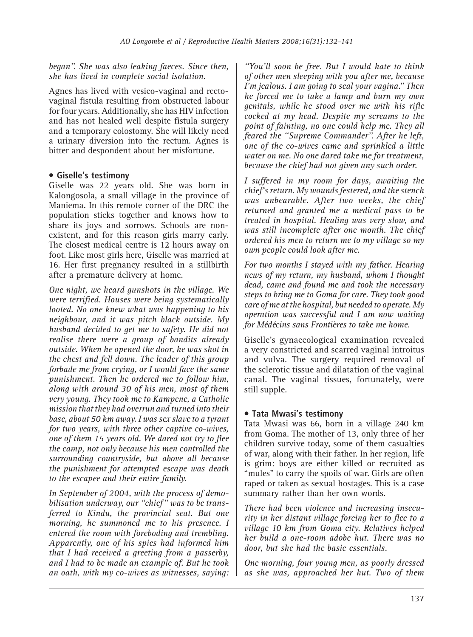began''. She was also leaking faeces. Since then, she has lived in complete social isolation.

Agnes has lived with vesico-vaginal and rectovaginal fistula resulting from obstructed labour for four years. Additionally, she has HIV infection and has not healed well despite fistula surgery and a temporary colostomy. She will likely need a urinary diversion into the rectum. Agnes is bitter and despondent about her misfortune.

## **·** Giselle's testimony

Giselle was 22 years old. She was born in Kalongosola, a small village in the province of Maniema. In this remote corner of the DRC the population sticks together and knows how to share its joys and sorrows. Schools are nonexistent, and for this reason girls marry early. The closest medical centre is 12 hours away on foot. Like most girls here, Giselle was married at 16. Her first pregnancy resulted in a stillbirth after a premature delivery at home.

One night, we heard gunshots in the village. We were terrified. Houses were being systematically looted. No one knew what was happening to his neighbour, and it was pitch black outside. My husband decided to get me to safety. He did not realise there were a group of bandits already outside. When he opened the door, he was shot in the chest and fell down. The leader of this group forbade me from crying, or I would face the same punishment. Then he ordered me to follow him, along with around 30 of his men, most of them very young. They took me to Kampene, a Catholic mission that they had overrun and turned into their base, about 50 km away. I was sex slave to a tyrant for two years, with three other captive co-wives, one of them 15 years old. We dared not try to flee the camp, not only because his men controlled the surrounding countryside, but above all because the punishment for attempted escape was death to the escapee and their entire family.

In September of 2004, with the process of demobilisation underway, our ''chief'' was to be transferred to Kindu, the provincial seat. But one morning, he summoned me to his presence. I entered the room with foreboding and trembling. Apparently, one of his spies had informed him that I had received a greeting from a passerby, and I had to be made an example of. But he took an oath, with my co-wives as witnesses, saying:

''You'll soon be free. But I would hate to think of other men sleeping with you after me, because I'm jealous. I am going to seal your vagina.'' Then he forced me to take a lamp and burn my own genitals, while he stood over me with his rifle cocked at my head. Despite my screams to the point of fainting, no one could help me. They all feared the ''Supreme Commander''. After he left, one of the co-wives came and sprinkled a little water on me. No one dared take me for treatment, because the chief had not given any such order.

I suffered in my room for days, awaiting the chief's return. My wounds festered, and the stench was unbearable. After two weeks, the chief returned and granted me a medical pass to be treated in hospital. Healing was very slow, and was still incomplete after one month. The chief ordered his men to return me to my village so my own people could look after me.

For two months I stayed with my father. Hearing news of my return, my husband, whom I thought dead, came and found me and took the necessary steps to bring me to Goma for care. They took good care of me at the hospital, but needed to operate. My operation was successful and I am now waiting for Médécins sans Frontières to take me home.

Giselle's gynaecological examination revealed a very constricted and scarred vaginal introitus and vulva. The surgery required removal of the sclerotic tissue and dilatation of the vaginal canal. The vaginal tissues, fortunately, were still supple.

## • Tata Mwasi's testimony

Tata Mwasi was 66, born in a village 240 km from Goma. The mother of 13, only three of her children survive today, some of them casualties of war, along with their father. In her region, life is grim: boys are either killed or recruited as "mules" to carry the spoils of war. Girls are often raped or taken as sexual hostages. This is a case summary rather than her own words.

There had been violence and increasing insecurity in her distant village forcing her to flee to a village 10 km from Goma city. Relatives helped her build a one-room adobe hut. There was no door, but she had the basic essentials.

One morning, four young men, as poorly dressed as she was, approached her hut. Two of them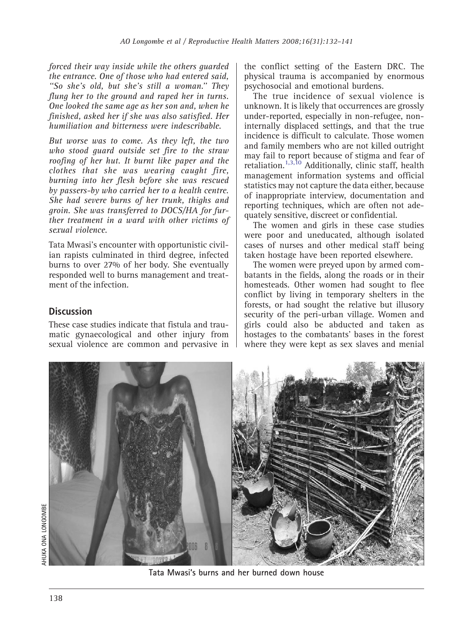forced their way inside while the others guarded the entrance. One of those who had entered said, ''So she's old, but she's still a woman.'' They flung her to the ground and raped her in turns. One looked the same age as her son and, when he finished, asked her if she was also satisfied. Her humiliation and bitterness were indescribable.

But worse was to come. As they left, the two who stood guard outside set fire to the straw roofing of her hut. It burnt like paper and the clothes that she was wearing caught fire, burning into her flesh before she was rescued by passers-by who carried her to a health centre. She had severe burns of her trunk, thighs and groin. She was transferred to DOCS/HA for further treatment in a ward with other victims of sexual violence.

Tata Mwasi's encounter with opportunistic civilian rapists culminated in third degree, infected burns to over 27% of her body. She eventually responded well to burns management and treatment of the infection.

# **Discussion**

These case studies indicate that fistula and traumatic gynaecological and other injury from sexual violence are common and pervasive in the conflict setting of the Eastern DRC. The physical trauma is accompanied by enormous psychosocial and emotional burdens.

The true incidence of sexual violence is unknown. It is likely that occurrences are grossly under-reported, especially in non-refugee, noninternally displaced settings, and that the true incidence is difficult to calculate. Those women and family members who are not killed outright may fail to report because of stigma and fear of retaliation.<sup>[1,3,](#page-8-0)[10](#page-9-0)</sup> Additionally, clinic staff, health management information systems and official statistics may not capture the data either, because of inappropriate interview, documentation and reporting techniques, which are often not adequately sensitive, discreet or confidential.

The women and girls in these case studies were poor and uneducated, although isolated cases of nurses and other medical staff being taken hostage have been reported elsewhere.

The women were preyed upon by armed combatants in the fields, along the roads or in their homesteads. Other women had sought to flee conflict by living in temporary shelters in the forests, or had sought the relative but illusory security of the peri-urban village. Women and girls could also be abducted and taken as hostages to the combatants' bases in the forest where they were kept as sex slaves and menial



Tata Mwasi's burns and her burned down house

AHUKA ONA LONGOMBE AHUKA ONA LONGOMBI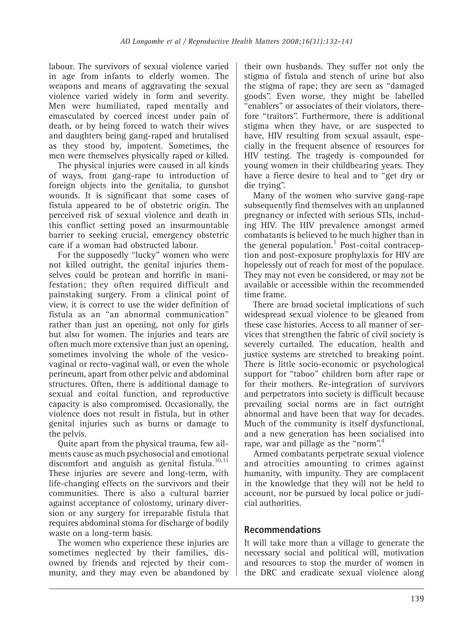labour. The survivors of sexual violence varied in age from infants to elderly women. The weapons and means of aggravating the sexual violence varied widely in form and severity. Men were humiliated, raped mentally and emasculated by coerced incest under pain of death, or by being forced to watch their wives and daughters being gang-raped and brutalised as they stood by, impotent. Sometimes, the men were themselves physically raped or killed.

The physical injuries were caused in all kinds of ways, from gang-rape to introduction of foreign objects into the genitalia, to gunshot wounds. It is significant that some cases of fistula appeared to be of obstetric origin. The perceived risk of sexual violence and death in this conflict setting posed an insurmountable barrier to seeking crucial, emergency obstetric care if a woman had obstructed labour.

For the supposedly "lucky" women who were not killed outright, the genital injuries themselves could be protean and horrific in manifestation; they often required difficult and painstaking surgery. From a clinical point of view, it is correct to use the wider definition of fistula as an ''an abnormal communication'' rather than just an opening, not only for girls but also for women. The injuries and tears are often much more extensive than just an opening, sometimes involving the whole of the vesicovaginal or recto-vaginal wall, or even the whole perineum, apart from other pelvic and abdominal structures. Often, there is additional damage to sexual and coital function, and reproductive capacity is also compromised. Occasionally, the violence does not result in fistula, but in other genital injuries such as burns or damage to the pelvis.

Quite apart from the physical trauma, few ailments cause as much psychosocial and emotional discomfort and anguish as genital fistula.<sup>[10,11](#page-9-0)</sup> These injuries are severe and long-term, with life-changing effects on the survivors and their communities. There is also a cultural barrier against acceptance of colostomy, urinary diversion or any surgery for irreparable fistula that requires abdominal stoma for discharge of bodily waste on a long-term basis.

The women who experience these injuries are sometimes neglected by their families, disowned by friends and rejected by their community, and they may even be abandoned by

their own husbands. They suffer not only the stigma of fistula and stench of urine but also the stigma of rape; they are seen as ''damaged goods''. Even worse, they might be labelled ''enablers'' or associates of their violators, therefore ''traitors''. Furthermore, there is additional stigma when they have, or are suspected to have, HIV resulting from sexual assault, especially in the frequent absence of resources for HIV testing. The tragedy is compounded for young women in their childbearing years. They have a fierce desire to heal and to ''get dry or die trying''.

Many of the women who survive gang-rape subsequently find themselves with an unplanned pregnancy or infected with serious STIs, including HIV. The HIV prevalence amongst armed combatants is believed to be much higher than in the general population.<sup>[1](#page-8-0)</sup> Post-coital contraception and post-exposure prophylaxis for HIV are hopelessly out of reach for most of the populace. They may not even be considered, or may not be available or accessible within the recommended time frame.

There are broad societal implications of such widespread sexual violence to be gleaned from these case histories. Access to all manner of services that strengthen the fabric of civil society is severely curtailed. The education, health and justice systems are stretched to breaking point. There is little socio-economic or psychological support for ''taboo'' children born after rape or for their mothers. Re-integration of survivors and perpetrators into society is difficult because prevailing social norms are in fact outright abnormal and have been that way for decades. Much of the community is itself dysfunctional, and a new generation has been socialised into rape, war and pillage as the "norm".<sup>[4](#page-8-0)</sup>

Armed combatants perpetrate sexual violence and atrocities amounting to crimes against humanity, with impunity. They are complacent in the knowledge that they will not be held to account, nor be pursued by local police or judicial authorities.

# Recommendations

It will take more than a village to generate the necessary social and political will, motivation and resources to stop the murder of women in the DRC and eradicate sexual violence along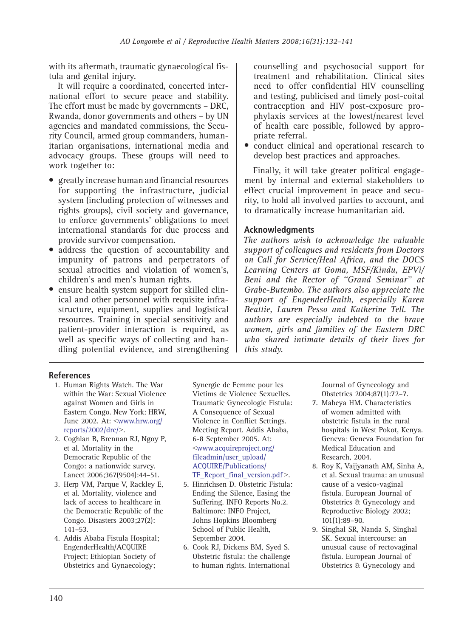<span id="page-8-0"></span>with its aftermath, traumatic gynaecological fistula and genital injury.

It will require a coordinated, concerted international effort to secure peace and stability. The effort must be made by governments – DRC, Rwanda, donor governments and others – by UN agencies and mandated commissions, the Security Council, armed group commanders, humanitarian organisations, international media and advocacy groups. These groups will need to work together to:

- greatly increase human and financial resources for supporting the infrastructure, judicial system (including protection of witnesses and rights groups), civil society and governance, to enforce governments' obligations to meet international standards for due process and
- provide survivor compensation.<br>• address the question of accountability and impunity of patrons and perpetrators of sexual atrocities and violation of women's,
- children's and men's human rights.<br>• ensure health system support for skilled clinical and other personnel with requisite infrastructure, equipment, supplies and logistical resources. Training in special sensitivity and patient-provider interaction is required, as well as specific ways of collecting and handling potential evidence, and strengthening

counselling and psychosocial support for treatment and rehabilitation. Clinical sites need to offer confidential HIV counselling and testing, publicised and timely post-coital contraception and HIV post-exposure prophylaxis services at the lowest/nearest level of health care possible, followed by appro-

priate referral.<br>• conduct clinical and operational research to develop best practices and approaches.

Finally, it will take greater political engagement by internal and external stakeholders to effect crucial improvement in peace and security, to hold all involved parties to account, and to dramatically increase humanitarian aid.

## Acknowledgments

The authors wish to acknowledge the valuable support of colleagues and residents from Doctors on Call for Service/Heal Africa, and the DOCS Learning Centers at Goma, MSF/Kindu, EPVi/ Beni and the Rector of ''Grand Seminar'' at Grabe-Butembo. The authors also appreciate the support of EngenderHealth, especially Karen Beattie, Lauren Pesso and Katherine Tell. The authors are especially indebted to the brave women, girls and families of the Eastern DRC who shared intimate details of their lives for this study.

#### References

- 1. Human Rights Watch. The War within the War: Sexual Violence against Women and Girls in Eastern Congo. New York: HRW, June 2002. At: <[www.hrw.org/](http://www.hrw.org/reports/2002/drc/) [reports/2002/drc/](http://www.hrw.org/reports/2002/drc/) $>$ .
- 2. Coghlan B, Brennan RJ, Ngoy P, et al. Mortality in the Democratic Republic of the Congo: a nationwide survey. Lancet 2006;367(9504):44–51.
- 3. Herp VM, Parque V, Rackley E, et al. Mortality, violence and lack of access to healthcare in the Democratic Republic of the Congo. Disasters 2003;27(2): 141–53.
- 4. Addis Ababa Fistula Hospital; EngenderHealth/ACQUIRE Project; Ethiopian Society of Obstetrics and Gynaecology;

Synergie de Femme pour les Victims de Violence Sexuelles. Traumatic Gynecologic Fistula: A Consequence of Sexual Violence in Conflict Settings. Meeting Report. Addis Ababa, 6-8 September 2005. At: b[www.acquireproject.org/](http://www.acquireproject.org/fileadmin/user_upload/ACQUIRE/Publications/TF_Report_final_version.pdf) [fileadmin/user\\_upload/](http://www.acquireproject.org/fileadmin/user_upload/ACQUIRE/Publications/TF_Report_final_version.pdf) [ACQUIRE/Publications/](http://www.acquireproject.org/fileadmin/user_upload/ACQUIRE/Publications/TF_Report_final_version.pdf) [TF\\_Report\\_final\\_version.pdf](http://www.acquireproject.org/fileadmin/user_upload/ACQUIRE/Publications/TF_Report_final_version.pdf)>.

- 5. Hinrichsen D. Obstetric Fistula: Ending the Silence, Easing the Suffering. INFO Reports No.2. Baltimore: INFO Project, Johns Hopkins Bloomberg School of Public Health, September 2004.
- 6. Cook RJ, Dickens BM, Syed S. Obstetric fistula: the challenge to human rights. International

Journal of Gynecology and Obstetrics 2004;87(1):72–7.

- 7. Mabeya HM. Characteristics of women admitted with obstetric fistula in the rural hospitals in West Pokot, Kenya. Geneva: Geneva Foundation for Medical Education and Research, 2004.
- 8. Roy K, Vaijyanath AM, Sinha A, et al. Sexual trauma: an unusual cause of a vesico-vaginal fistula. European Journal of Obstetrics & Gynecology and Reproductive Biology 2002; 101(1):89–90.
- 9. Singhal SR, Nanda S, Singhal SK. Sexual intercourse: an unusual cause of rectovaginal fistula. European Journal of Obstetrics & Gynecology and